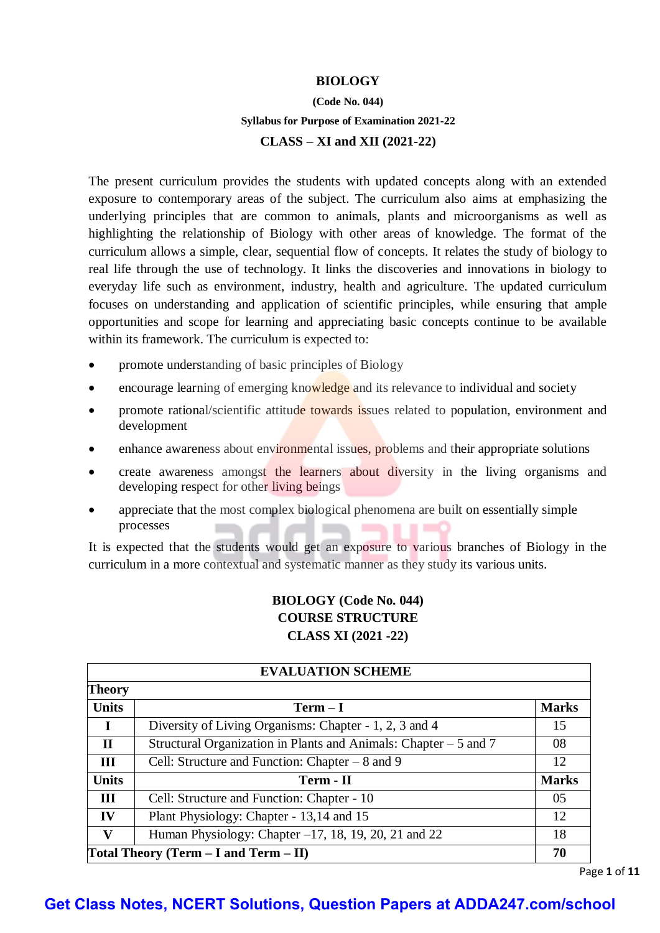## **BIOLOGY**

# **(Code No. 044) Syllabus for Purpose of Examination 2021-22**

#### **CLASS – XI and XII (2021-22)**

The present curriculum provides the students with updated concepts along with an extended exposure to contemporary areas of the subject. The curriculum also aims at emphasizing the underlying principles that are common to animals, plants and microorganisms as well as highlighting the relationship of Biology with other areas of knowledge. The format of the curriculum allows a simple, clear, sequential flow of concepts. It relates the study of biology to real life through the use of technology. It links the discoveries and innovations in biology to everyday life such as environment, industry, health and agriculture. The updated curriculum focuses on understanding and application of scientific principles, while ensuring that ample opportunities and scope for learning and appreciating basic concepts continue to be available within its framework. The curriculum is expected to:

- promote understanding of basic principles of Biology
- encourage learning of emerging knowledge and its relevance to individual and society
- promote rational/scientific attitude towards issues related to population, environment and development
- enhance awareness about environmental issues, problems and their appropriate solutions
- create awareness amongst the learners about diversity in the living organisms and developing respect for other living beings
- appreciate that the most complex biological phenomena are built on essentially simple processes ×

It is expected that the students would get an exposure to various branches of Biology in the curriculum in a more contextual and systematic manner as they study its various units.

# **BIOLOGY (Code No. 044) COURSE STRUCTURE CLASS XI (2021 -22)**

| <b>EVALUATION SCHEME</b> |                                                                   |              |  |
|--------------------------|-------------------------------------------------------------------|--------------|--|
| <b>Theory</b>            |                                                                   |              |  |
| <b>Units</b>             | $Term - I$                                                        | <b>Marks</b> |  |
| $\mathbf I$              | Diversity of Living Organisms: Chapter - 1, 2, 3 and 4            | 15           |  |
| $\mathbf{H}$             | Structural Organization in Plants and Animals: Chapter $-5$ and 7 | 08           |  |
| III                      | Cell: Structure and Function: Chapter $-8$ and 9                  | 12           |  |
| <b>Units</b>             | Term - II                                                         | <b>Marks</b> |  |
| III                      | Cell: Structure and Function: Chapter - 10                        | 05           |  |
| IV                       | Plant Physiology: Chapter - 13,14 and 15                          | 12           |  |
| V                        | Human Physiology: Chapter $-17$ , 18, 19, 20, 21 and 22           | 18           |  |
|                          | Total Theory (Term $- I$ and Term $- II$ )<br>70                  |              |  |

Page **1** of **11**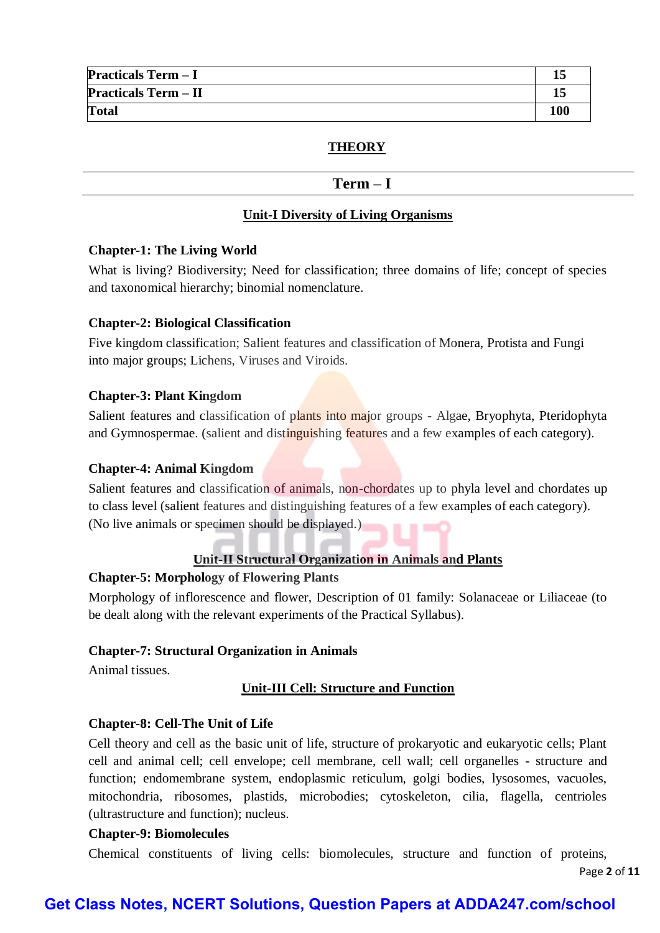| <b>Practicals Term - I</b>  |     |
|-----------------------------|-----|
| <b>Practicals Term - II</b> |     |
| <b>Total</b>                | 100 |

# **THEORY**

## $Term - I$

#### **Unit-I Diversity of Living Organisms**

#### **Chapter-1: The Living World**

What is living? Biodiversity; Need for classification; three domains of life; concept of species and taxonomical hierarchy; binomial nomenclature.

#### **Chapter-2: Biological Classification**

Five kingdom classification; Salient features and classification of Monera, Protista and Fungi into major groups; Lichens, Viruses and Viroids.

#### **Chapter-3: Plant Kingdom**

Salient features and classification of plants into major groups - Algae, Bryophyta, Pteridophyta and Gymnospermae. (salient and distinguishing features and a few examples of each category).

#### **Chapter-4: Animal Kingdom**

Salient features and classification of animals, non-chordates up to phyla level and chordates up to class level (salient features and distinguishing features of a few examples of each category). (No live animals or specimen should be displayed.)

# **Unit-II Structural Organization in Animals and Plants**

## **Chapter-5: Morphology of Flowering Plants**

Morphology of inflorescence and flower, Description of 01 family: Solanaceae or Liliaceae (to be dealt along with the relevant experiments of the Practical Syllabus).

#### **Chapter-7: Structural Organization in Animals**

Animal tissues.

## **Unit-III Cell: Structure and Function**

## **Chapter-8: Cell-The Unit of Life**

Cell theory and cell as the basic unit of life, structure of prokaryotic and eukaryotic cells; Plant cell and animal cell; cell envelope; cell membrane, cell wall; cell organelles - structure and function; endomembrane system, endoplasmic reticulum, golgi bodies, lysosomes, vacuoles, mitochondria, ribosomes, plastids, microbodies; cytoskeleton, cilia, flagella, centrioles (ultrastructure and function); nucleus.

#### **Chapter-9: Biomolecules**

Chemical constituents of living cells: biomolecules, structure and function of proteins,

Page **2** of **11**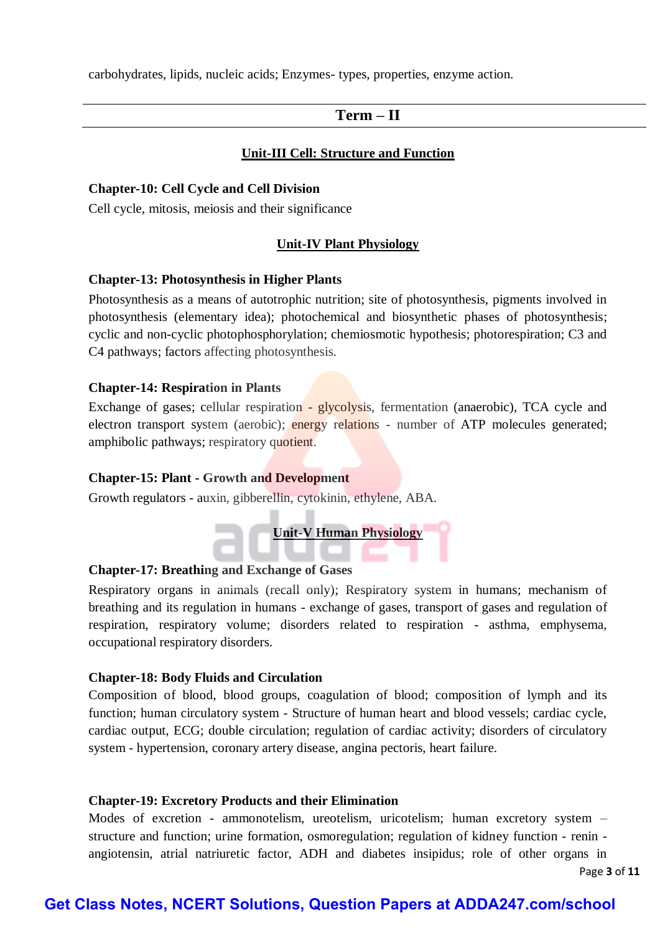carbohydrates, lipids, nucleic acids; Enzymes- types, properties, enzyme action.

# **Term – II**

## **Unit-III Cell: Structure and Function**

#### **Chapter-10: Cell Cycle and Cell Division**

Cell cycle, mitosis, meiosis and their significance

#### **Unit-IV Plant Physiology**

#### **Chapter-13: Photosynthesis in Higher Plants**

Photosynthesis as a means of autotrophic nutrition; site of photosynthesis, pigments involved in photosynthesis (elementary idea); photochemical and biosynthetic phases of photosynthesis; cyclic and non-cyclic photophosphorylation; chemiosmotic hypothesis; photorespiration; C3 and C4 pathways; factors affecting photosynthesis.

#### **Chapter-14: Respiration in Plants**

Exchange of gases; cellular respiration - glycolysis, fermentation (anaerobic), TCA cycle and electron transport system (aerobic); energy relations - number of ATP molecules generated; amphibolic pathways; respiratory quotient.

#### **Chapter-15: Plant - Growth and Development**

Growth regulators - auxin, gibberellin, cytokinin, ethylene, ABA.



# **Chapter-17: Breathing and Exchange of Gases**

Respiratory organs in animals (recall only); Respiratory system in humans; mechanism of breathing and its regulation in humans - exchange of gases, transport of gases and regulation of respiration, respiratory volume; disorders related to respiration - asthma, emphysema, occupational respiratory disorders.

#### **Chapter-18: Body Fluids and Circulation**

Composition of blood, blood groups, coagulation of blood; composition of lymph and its function; human circulatory system - Structure of human heart and blood vessels; cardiac cycle, cardiac output, ECG; double circulation; regulation of cardiac activity; disorders of circulatory system - hypertension, coronary artery disease, angina pectoris, heart failure.

#### **Chapter-19: Excretory Products and their Elimination**

Modes of excretion - ammonotelism, ureotelism, uricotelism; human excretory system – structure and function; urine formation, osmoregulation; regulation of kidney function - renin angiotensin, atrial natriuretic factor, ADH and diabetes insipidus; role of other organs in

Page **3** of **11**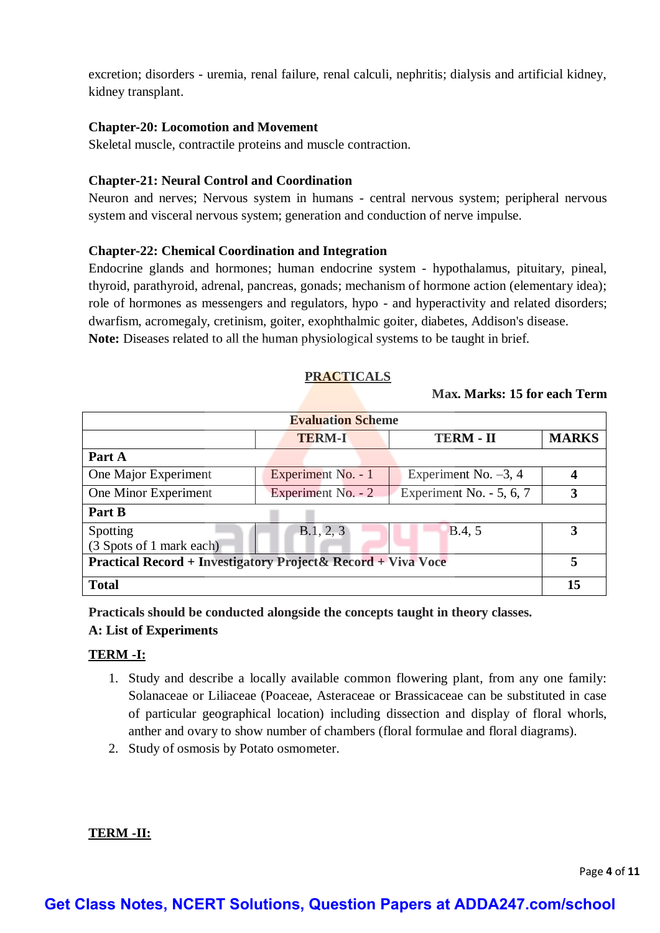excretion; disorders - uremia, renal failure, renal calculi, nephritis; dialysis and artificial kidney, kidney transplant.

## **Chapter-20: Locomotion and Movement**

Skeletal muscle, contractile proteins and muscle contraction.

# **Chapter-21: Neural Control and Coordination**

Neuron and nerves; Nervous system in humans - central nervous system; peripheral nervous system and visceral nervous system; generation and conduction of nerve impulse.

## **Chapter-22: Chemical Coordination and Integration**

Endocrine glands and hormones; human endocrine system - hypothalamus, pituitary, pineal, thyroid, parathyroid, adrenal, pancreas, gonads; mechanism of hormone action (elementary idea); role of hormones as messengers and regulators, hypo - and hyperactivity and related disorders; dwarfism, acromegaly, cretinism, goiter, exophthalmic goiter, diabetes, Addison's disease. **Note:** Diseases related to all the human physiological systems to be taught in brief.

## **PRACTICALS**

# **Max. Marks: 15 for each Term**

| <b>Evaluation Scheme</b>                                                 |                    |                          |              |
|--------------------------------------------------------------------------|--------------------|--------------------------|--------------|
|                                                                          | <b>TERM-I</b>      | <b>TERM - II</b>         | <b>MARKS</b> |
| Part A                                                                   |                    |                          |              |
| One Major Experiment                                                     | Experiment No. - 1 | Experiment No. $-3$ , 4  | 4            |
| One Minor Experiment                                                     | Experiment No. - 2 | Experiment No. - 5, 6, 7 | 3            |
| Part B                                                                   |                    |                          |              |
| Spotting                                                                 | B.1, 2, 3          | B.4, 5                   | 3            |
| (3 Spots of 1 mark each)                                                 |                    |                          |              |
| <b>Practical Record + Investigatory Project &amp; Record + Viva Voce</b> |                    |                          | 5            |
| <b>Total</b>                                                             |                    |                          | 15           |

**Practicals should be conducted alongside the concepts taught in theory classes.**

# **A: List of Experiments**

## **TERM -I:**

- 1. Study and describe a locally available common flowering plant, from any one family: Solanaceae or Liliaceae (Poaceae, Asteraceae or Brassicaceae can be substituted in case of particular geographical location) including dissection and display of floral whorls, anther and ovary to show number of chambers (floral formulae and floral diagrams).
- 2. Study of osmosis by Potato osmometer.

## **TERM -II:**

Page **4** of **11**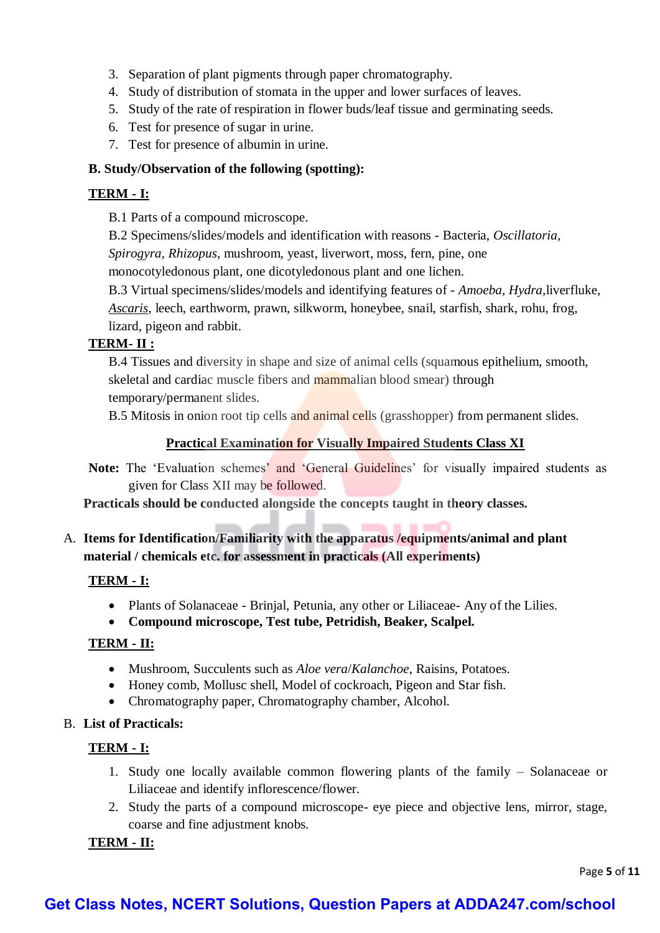- 3. Separation of plant pigments through paper chromatography.
- 4. Study of distribution of stomata in the upper and lower surfaces of leaves.
- 5. Study of the rate of respiration in flower buds/leaf tissue and germinating seeds.
- 6. Test for presence of sugar in urine.
- 7. Test for presence of albumin in urine.

## **B. Study/Observation of the following (spotting):**

# **TERM - I:**

B.1 Parts of a compound microscope.

B.2 Specimens/slides/models and identification with reasons - Bacteria, *Oscillatoria, Spirogyra, Rhizopus*, mushroom, yeast, liverwort, moss, fern, pine, one

monocotyledonous plant, one dicotyledonous plant and one lichen.

B.3 Virtual specimens/slides/models and identifying features of - *Amoeba, Hydra,*liverfluke, *Ascaris*, leech, earthworm, prawn, silkworm, honeybee, snail, starfish, shark, rohu, frog, lizard, pigeon and rabbit.

## **TERM- II :**

B.4 Tissues and diversity in shape and size of animal cells (squamous epithelium, smooth, skeletal and cardiac muscle fibers and mammalian blood smear) through temporary/permanent slides.

B.5 Mitosis in onion root tip cells and animal cells (grasshopper) from permanent slides.

## **Practical Examination for Visually Impaired Students Class XI**

**Note:** The 'Evaluation schemes' and 'General Guidelines' for visually impaired students as given for Class XII may be followed.

**Practicals should be conducted alongside the concepts taught in theory classes.**

A. **Items for Identification/Familiarity with the apparatus /equipments/animal and plant material / chemicals etc. for assessment in practicals (All experiments)**

# **TERM - I:**

- Plants of Solanaceae Brinjal, Petunia, any other or Liliaceae- Any of the Lilies.
- **Compound microscope, Test tube, Petridish, Beaker, Scalpel.**

## **TERM - II:**

- Mushroom, Succulents such as *Aloe vera*/*Kalanchoe*, Raisins, Potatoes.
- Honey comb, Mollusc shell, Model of cockroach, Pigeon and Star fish.
- Chromatography paper, Chromatography chamber, Alcohol.
- B. **List of Practicals:**

# **TERM - I:**

- 1. Study one locally available common flowering plants of the family Solanaceae or Liliaceae and identify inflorescence/flower.
- 2. Study the parts of a compound microscope- eye piece and objective lens, mirror, stage, coarse and fine adjustment knobs.

# **TERM - II:**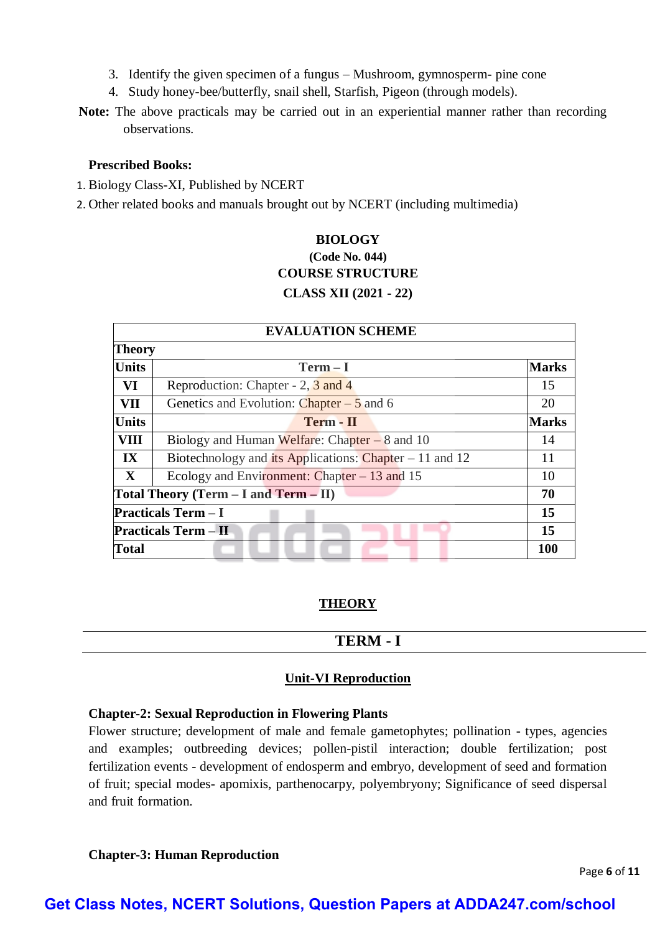- 3. Identify the given specimen of a fungus Mushroom, gymnosperm- pine cone
- 4. Study honey-bee/butterfly, snail shell, Starfish, Pigeon (through models).
- **Note:** The above practicals may be carried out in an experiential manner rather than recording observations.

## **Prescribed Books:**

- 1. Biology Class-XI, Published by NCERT
- 2. Other related books and manuals brought out by NCERT (including multimedia)

# **BIOLOGY (Code No. 044) COURSE STRUCTURE CLASS XII (2021 - 22)**

| <b>EVALUATION SCHEME</b> |                                                          |              |
|--------------------------|----------------------------------------------------------|--------------|
| <b>Theory</b>            |                                                          |              |
| <b>Units</b>             | $Term - I$                                               | <b>Marks</b> |
| VI                       | Reproduction: Chapter - 2, 3 and 4                       | 15           |
| VII                      | Genetics and Evolution: Chapter $-5$ and 6               | 20           |
| <b>Units</b>             | Term - II                                                | <b>Marks</b> |
| <b>VIII</b>              | Biology and Human Welfare: Chapter $-8$ and 10           | 14           |
| $\mathbf{I} \mathbf{X}$  | Biotechnology and its Applications: Chapter $-11$ and 12 | 11           |
| $\mathbf{X}$             | Ecology and Environment: Chapter $-13$ and 15            | 10           |
|                          | Total Theory (Term $-$ I and Term $-$ II)                | 70           |
|                          | <b>Practicals Term <math>-I</math></b>                   | 15           |
|                          | <b>Practicals Term - II</b>                              | 15           |
| <b>Total</b>             |                                                          | <b>100</b>   |

# **THEORY**

# **TERM - I**

# **Unit-VI Reproduction**

## **Chapter-2: Sexual Reproduction in Flowering Plants**

Flower structure; development of male and female gametophytes; pollination - types, agencies and examples; outbreeding devices; pollen-pistil interaction; double fertilization; post fertilization events - development of endosperm and embryo, development of seed and formation of fruit; special modes- apomixis, parthenocarpy, polyembryony; Significance of seed dispersal and fruit formation.

## **Chapter-3: Human Reproduction**

Page **6** of **11**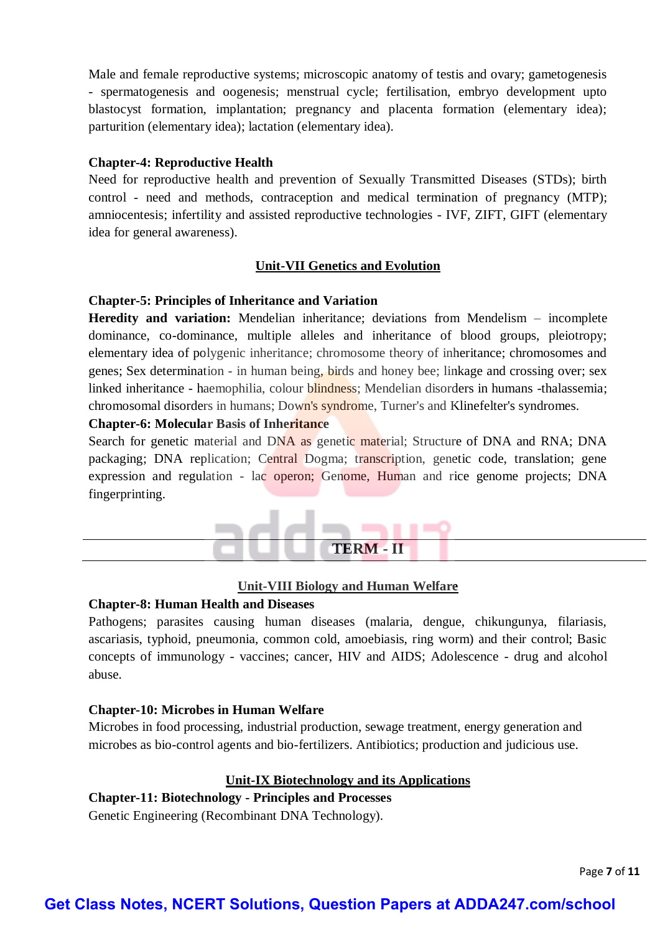Male and female reproductive systems; microscopic anatomy of testis and ovary; gametogenesis - spermatogenesis and oogenesis; menstrual cycle; fertilisation, embryo development upto blastocyst formation, implantation; pregnancy and placenta formation (elementary idea); parturition (elementary idea); lactation (elementary idea).

#### **Chapter-4: Reproductive Health**

Need for reproductive health and prevention of Sexually Transmitted Diseases (STDs); birth control - need and methods, contraception and medical termination of pregnancy (MTP); amniocentesis; infertility and assisted reproductive technologies - IVF, ZIFT, GIFT (elementary idea for general awareness).

#### **Unit-VII Genetics and Evolution**

#### **Chapter-5: Principles of Inheritance and Variation**

**Heredity and variation:** Mendelian inheritance; deviations from Mendelism – incomplete dominance, co-dominance, multiple alleles and inheritance of blood groups, pleiotropy; elementary idea of polygenic inheritance; chromosome theory of inheritance; chromosomes and genes; Sex determination - in human being, birds and honey bee; linkage and crossing over; sex linked inheritance - haemophilia, colour blindness; Mendelian disorders in humans -thalassemia; chromosomal disorders in humans; Down's syndrome, Turner's and Klinefelter's syndromes.

#### **Chapter-6: Molecular Basis of Inheritance**

Search for genetic material and DNA as genetic material; Structure of DNA and RNA; DNA packaging; DNA replication; Central Dogma; transcription, genetic code, translation; gene expression and regulation - lac operon; Genome, Human and rice genome projects; DNA fingerprinting.



#### **Unit-VIII Biology and Human Welfare**

#### **Chapter-8: Human Health and Diseases**

Pathogens; parasites causing human diseases (malaria, dengue, chikungunya, filariasis, ascariasis, typhoid, pneumonia, common cold, amoebiasis, ring worm) and their control; Basic concepts of immunology - vaccines; cancer, HIV and AIDS; Adolescence - drug and alcohol abuse.

#### **Chapter-10: Microbes in Human Welfare**

Microbes in food processing, industrial production, sewage treatment, energy generation and microbes as bio-control agents and bio-fertilizers. Antibiotics; production and judicious use.

## **Unit-IX Biotechnology and its Applications**

# **Chapter-11: Biotechnology - Principles and Processes**

Genetic Engineering (Recombinant DNA Technology).

Page **7** of **11**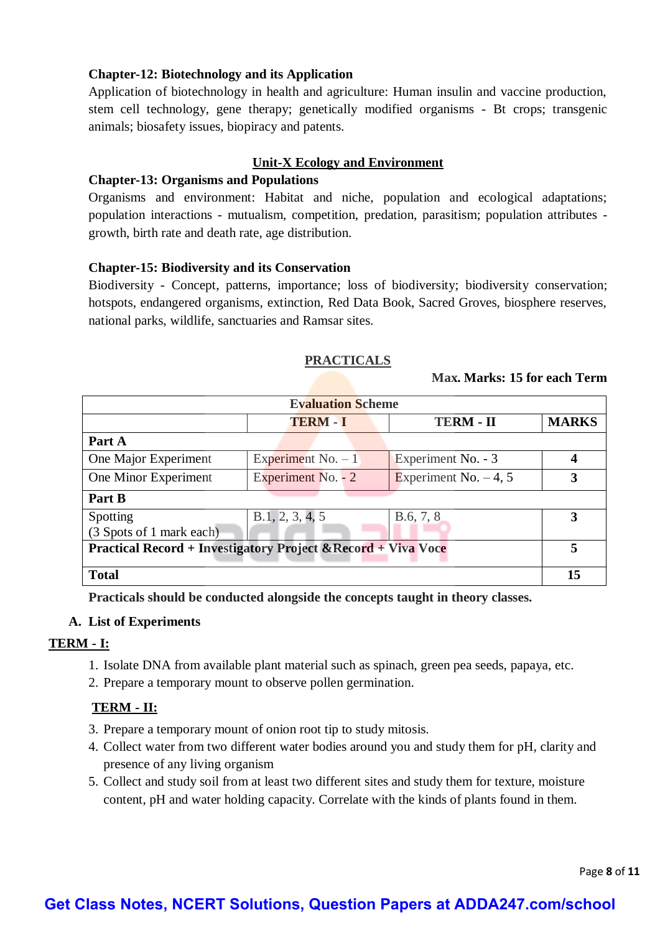# **Chapter-12: Biotechnology and its Application**

Application of biotechnology in health and agriculture: Human insulin and vaccine production, stem cell technology, gene therapy; genetically modified organisms - Bt crops; transgenic animals; biosafety issues, biopiracy and patents.

## **Unit-X Ecology and Environment**

## **Chapter-13: Organisms and Populations**

Organisms and environment: Habitat and niche, population and ecological adaptations; population interactions - mutualism, competition, predation, parasitism; population attributes growth, birth rate and death rate, age distribution.

## **Chapter-15: Biodiversity and its Conservation**

Biodiversity - Concept, patterns, importance; loss of biodiversity; biodiversity conservation; hotspots, endangered organisms, extinction, Red Data Book, Sacred Groves, biosphere reserves, national parks, wildlife, sanctuaries and Ramsar sites.

## **PRACTICALS**

#### **Max. Marks: 15 for each Term**

| <b>Evaluation Scheme</b>                                                 |                     |                         |                  |
|--------------------------------------------------------------------------|---------------------|-------------------------|------------------|
|                                                                          | <b>TERM - I</b>     | <b>TERM - II</b>        | <b>MARKS</b>     |
| Part A                                                                   |                     |                         |                  |
| One Major Experiment                                                     | Experiment No. $-1$ | Experiment No. - 3      | $\boldsymbol{4}$ |
| One Minor Experiment                                                     | Experiment No. - 2  | Experiment No. $-4$ , 5 | 3                |
| Part B                                                                   |                     |                         |                  |
| Spotting                                                                 | B.1, 2, 3, 4, 5     | B.6, 7, 8               | 3                |
| (3 Spots of 1 mark each)                                                 |                     |                         |                  |
| <b>Practical Record + Investigatory Project &amp; Record + Viva Voce</b> |                     |                         | 5                |
| <b>Total</b>                                                             |                     |                         | 15               |

**Practicals should be conducted alongside the concepts taught in theory classes.**

## **A. List of Experiments**

## **TERM - I:**

- 1. Isolate DNA from available plant material such as spinach, green pea seeds, papaya, etc.
- 2. Prepare a temporary mount to observe pollen germination.

## **TERM - II:**

- 3. Prepare a temporary mount of onion root tip to study mitosis.
- 4. Collect water from two different water bodies around you and study them for pH, clarity and presence of any living organism
- 5. Collect and study soil from at least two different sites and study them for texture, moisture content, pH and water holding capacity. Correlate with the kinds of plants found in them.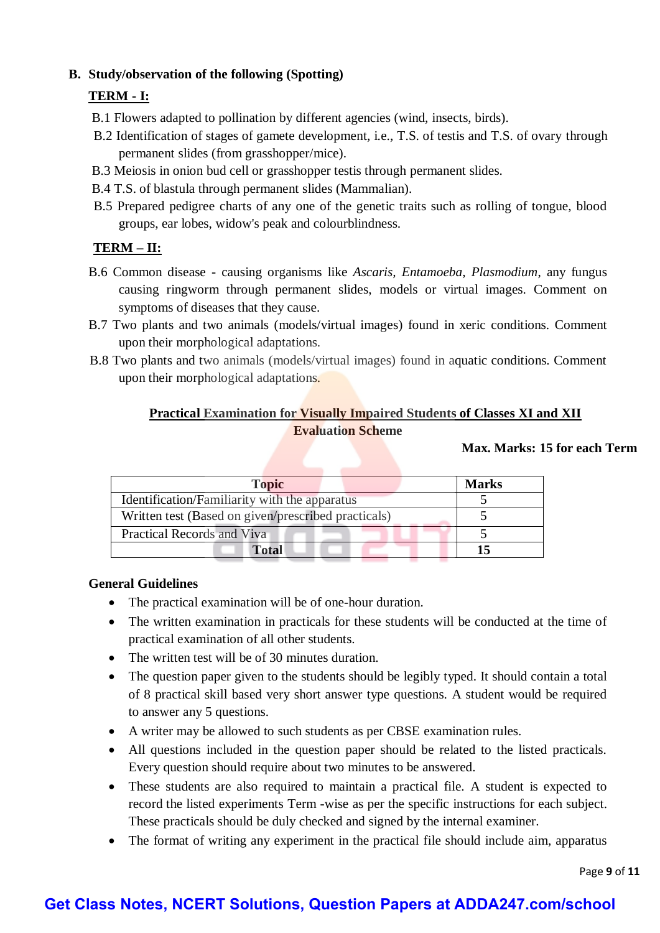# **B. Study/observation of the following (Spotting)**

# **TERM - I:**

- B.1 Flowers adapted to pollination by different agencies (wind, insects, birds).
- B.2 Identification of stages of gamete development, i.e., T.S. of testis and T.S. of ovary through permanent slides (from grasshopper/mice).
- B.3 Meiosis in onion bud cell or grasshopper testis through permanent slides.
- B.4 T.S. of blastula through permanent slides (Mammalian).
- B.5 Prepared pedigree charts of any one of the genetic traits such as rolling of tongue, blood groups, ear lobes, widow's peak and colourblindness.

# **TERM – II:**

- B.6 Common disease causing organisms like *Ascaris, Entamoeba, Plasmodium*, any fungus causing ringworm through permanent slides, models or virtual images. Comment on symptoms of diseases that they cause.
- B.7 Two plants and two animals (models/virtual images) found in xeric conditions. Comment upon their morphological adaptations.
- B.8 Two plants and two animals (models/virtual images) found in aquatic conditions. Comment upon their morphological adaptations.

# **Practical Examination for Visually Impaired Students of Classes XI and XII Evaluation Scheme**

# **Max. Marks: 15 for each Term**

| <b>Topic</b>                                        | <b>Marks</b> |
|-----------------------------------------------------|--------------|
| Identification/Familiarity with the apparatus       |              |
| Written test (Based on given/prescribed practicals) |              |
| Practical Records and Viva                          |              |
| Total                                               |              |

# **General Guidelines**

- The practical examination will be of one-hour duration.
- The written examination in practicals for these students will be conducted at the time of practical examination of all other students.
- The written test will be of 30 minutes duration.
- The question paper given to the students should be legibly typed. It should contain a total of 8 practical skill based very short answer type questions. A student would be required to answer any 5 questions.
- A writer may be allowed to such students as per CBSE examination rules.
- All questions included in the question paper should be related to the listed practicals. Every question should require about two minutes to be answered.
- These students are also required to maintain a practical file. A student is expected to record the listed experiments Term -wise as per the specific instructions for each subject. These practicals should be duly checked and signed by the internal examiner.
- The format of writing any experiment in the practical file should include aim, apparatus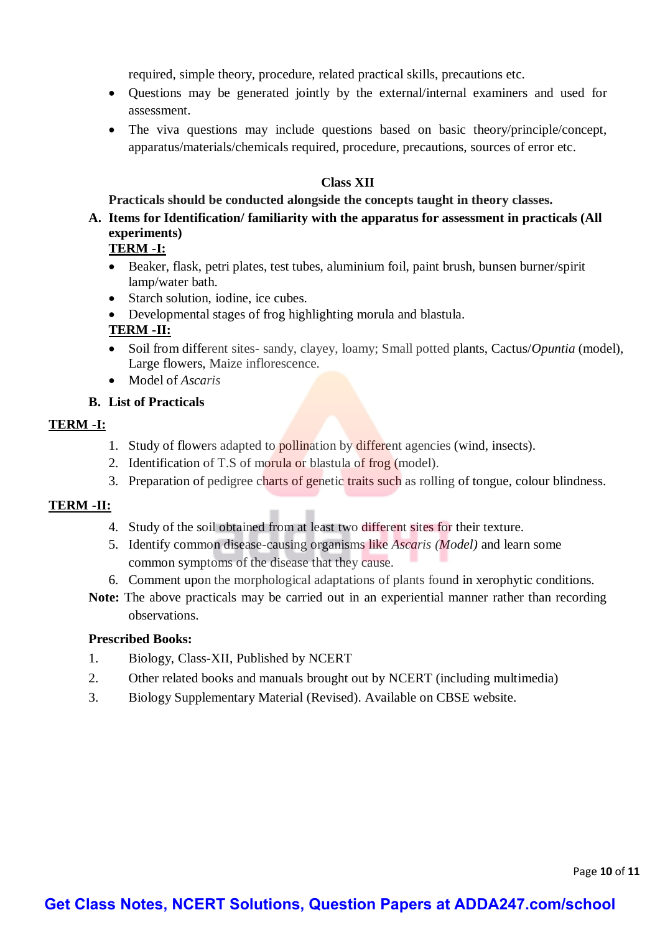required, simple theory, procedure, related practical skills, precautions etc.

- Questions may be generated jointly by the external/internal examiners and used for assessment.
- The viva questions may include questions based on basic theory/principle/concept, apparatus/materials/chemicals required, procedure, precautions, sources of error etc.

# **Class XII**

## **Practicals should be conducted alongside the concepts taught in theory classes.**

**A. Items for Identification/ familiarity with the apparatus for assessment in practicals (All experiments)**

# **TERM -I:**

- Beaker, flask, petri plates, test tubes, aluminium foil, paint brush, bunsen burner/spirit lamp/water bath.
- Starch solution, iodine, ice cubes.
- Developmental stages of frog highlighting morula and blastula*.*

# **TERM -II:**

- Soil from different sites- sandy, clayey, loamy; Small potted plants, Cactus/*Opuntia* (model), Large flowers, Maize inflorescence.
- Model of *Ascaris*

## **B. List of Practicals**

## **TERM -I:**

- 1. Study of flowers adapted to **pollination** by different agencies (wind, insects).
- 2. Identification of T.S of morula or blastula of frog (model).
- 3. Preparation of pedigree charts of genetic traits such as rolling of tongue, colour blindness.

# **TERM -II:**

- 4. Study of the soil obtained from at least two different sites for their texture.
- 5. Identify common disease-causing organisms like *Ascaris (Model)* and learn some common symptoms of the disease that they cause.
- 6. Comment upon the morphological adaptations of plants found in xerophytic conditions.
- **Note:** The above practicals may be carried out in an experiential manner rather than recording observations.

## **Prescribed Books:**

- 1. Biology, Class-XII, Published by NCERT
- 2. Other related books and manuals brought out by NCERT (including multimedia)
- 3. Biology Supplementary Material (Revised). Available on CBSE website.